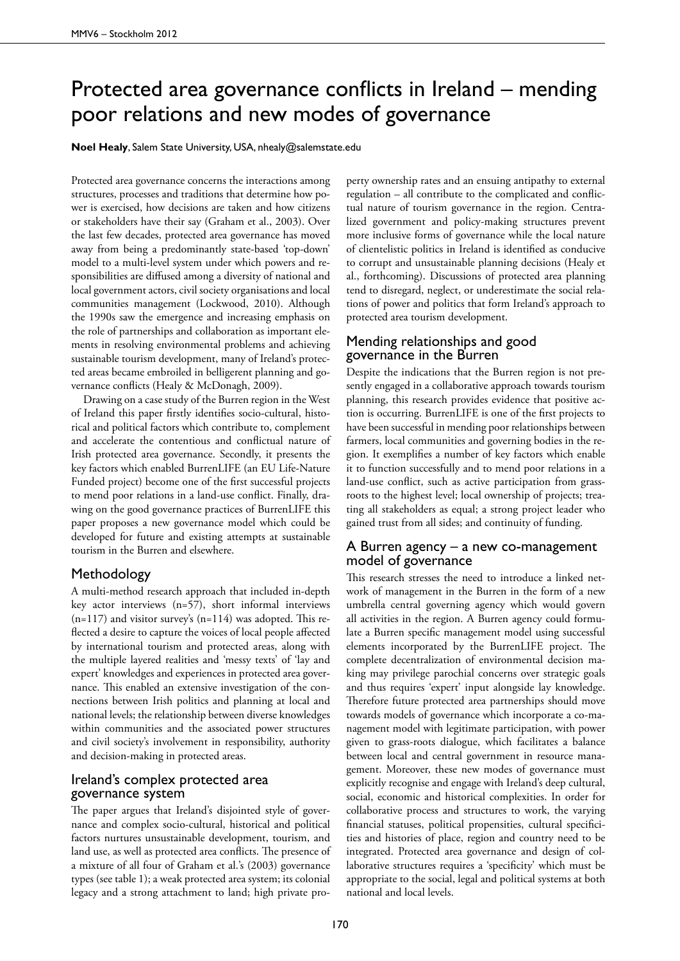# Protected area governance conflicts in Ireland – mending poor relations and new modes of governance

**Noel Healy**, Salem State University, USA, nhealy@salemstate.edu

Protected area governance concerns the interactions among structures, processes and traditions that determine how power is exercised, how decisions are taken and how citizens or stakeholders have their say (Graham et al., 2003). Over the last few decades, protected area governance has moved away from being a predominantly state-based 'top-down' model to a multi-level system under which powers and responsibilities are diffused among a diversity of national and local government actors, civil society organisations and local communities management (Lockwood, 2010). Although the 1990s saw the emergence and increasing emphasis on the role of partnerships and collaboration as important elements in resolving environmental problems and achieving sustainable tourism development, many of Ireland's protected areas became embroiled in belligerent planning and governance conflicts (Healy & McDonagh, 2009).

Drawing on a case study of the Burren region in the West of Ireland this paper firstly identifies socio-cultural, historical and political factors which contribute to, complement and accelerate the contentious and conflictual nature of Irish protected area governance. Secondly, it presents the key factors which enabled BurrenLIFE (an EU Life-Nature Funded project) become one of the first successful projects to mend poor relations in a land-use conflict. Finally, drawing on the good governance practices of BurrenLIFE this paper proposes a new governance model which could be developed for future and existing attempts at sustainable tourism in the Burren and elsewhere.

#### Methodology

A multi-method research approach that included in-depth key actor interviews (n=57), short informal interviews  $(n=117)$  and visitor survey's  $(n=114)$  was adopted. This reflected a desire to capture the voices of local people affected by international tourism and protected areas, along with the multiple layered realities and 'messy texts' of 'lay and expert' knowledges and experiences in protected area governance. This enabled an extensive investigation of the connections between Irish politics and planning at local and national levels; the relationship between diverse knowledges within communities and the associated power structures and civil society's involvement in responsibility, authority and decision-making in protected areas.

## Ireland's complex protected area governance system

The paper argues that Ireland's disjointed style of governance and complex socio-cultural, historical and political factors nurtures unsustainable development, tourism, and land use, as well as protected area conflicts. The presence of a mixture of all four of Graham et al.'s (2003) governance types (see table 1); a weak protected area system; its colonial legacy and a strong attachment to land; high private pro-

perty ownership rates and an ensuing antipathy to external regulation – all contribute to the complicated and conflictual nature of tourism governance in the region. Centralized government and policy-making structures prevent more inclusive forms of governance while the local nature of clientelistic politics in Ireland is identified as conducive to corrupt and unsustainable planning decisions (Healy et al., forthcoming). Discussions of protected area planning tend to disregard, neglect, or underestimate the social relations of power and politics that form Ireland's approach to protected area tourism development.

## Mending relationships and good governance in the Burren

Despite the indications that the Burren region is not presently engaged in a collaborative approach towards tourism planning, this research provides evidence that positive action is occurring. BurrenLIFE is one of the first projects to have been successful in mending poor relationships between farmers, local communities and governing bodies in the region. It exemplifies a number of key factors which enable it to function successfully and to mend poor relations in a land-use conflict, such as active participation from grassroots to the highest level; local ownership of projects; treating all stakeholders as equal; a strong project leader who gained trust from all sides; and continuity of funding.

#### A Burren agency – a new co-management model of governance

This research stresses the need to introduce a linked network of management in the Burren in the form of a new umbrella central governing agency which would govern all activities in the region. A Burren agency could formulate a Burren specific management model using successful elements incorporated by the BurrenLIFE project. The complete decentralization of environmental decision making may privilege parochial concerns over strategic goals and thus requires 'expert' input alongside lay knowledge. Therefore future protected area partnerships should move towards models of governance which incorporate a co-management model with legitimate participation, with power given to grass-roots dialogue, which facilitates a balance between local and central government in resource management. Moreover, these new modes of governance must explicitly recognise and engage with Ireland's deep cultural, social, economic and historical complexities. In order for collaborative process and structures to work, the varying financial statuses, political propensities, cultural specificities and histories of place, region and country need to be integrated. Protected area governance and design of collaborative structures requires a 'specificity' which must be appropriate to the social, legal and political systems at both national and local levels.